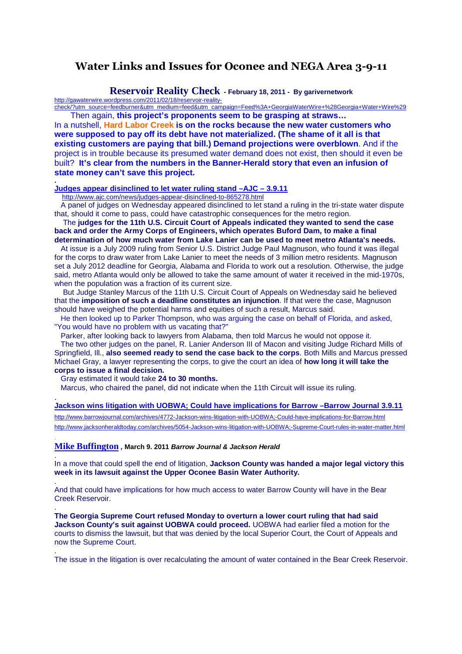# **Water Links and Issues for Oconee and NEGA Area 3-9-11**

## **Reservoir Reality Check - February 18, 2011 - By garivernetwork**

http://gawaterwire.wordpress.com/2011/02/18/reservoir-realitycheck/?utm\_source=feedburner&utm\_medium=feed&utm\_campaign=Feed%3A+GeorgiaWaterWire+%28Georgia+Water+Wire%29 Then again, **this project's proponents seem to be grasping at straws…** 

In a nutshell, **Hard Labor Creek is on the rocks because the new water customers who were supposed to pay off its debt have not materialized. (The shame of it all is that existing customers are paying that bill.) Demand projections were overblown**. And if the project is in trouble because its presumed water demand does not exist, then should it even be built? **It's clear from the numbers in the Banner-Herald story that even an infusion of state money can't save this project.** 

#### **Judges appear disinclined to let water ruling stand –AJC – 3.9.11**

http://www.ajc.com/news/judges-appear-disinclined-to-865278.html

**.** 

.

.

.

.

.

.

 A panel of judges on Wednesday appeared disinclined to let stand a ruling in the tri-state water dispute that, should it come to pass, could have catastrophic consequences for the metro region.

 The **judges for the 11th U.S. Circuit Court of Appeals indicated they wanted to send the case back and order the Army Corps of Engineers, which operates Buford Dam, to make a final determination of how much water from Lake Lanier can be used to meet metro Atlanta's needs.**

 At issue is a July 2009 ruling from Senior U.S. District Judge Paul Magnuson, who found it was illegal for the corps to draw water from Lake Lanier to meet the needs of 3 million metro residents. Magnuson set a July 2012 deadline for Georgia, Alabama and Florida to work out a resolution. Otherwise, the judge said, metro Atlanta would only be allowed to take the same amount of water it received in the mid-1970s, when the population was a fraction of its current size.

 But Judge Stanley Marcus of the 11th U.S. Circuit Court of Appeals on Wednesday said he believed that the **imposition of such a deadline constitutes an injunction**. If that were the case, Magnuson should have weighed the potential harms and equities of such a result, Marcus said.

 He then looked up to Parker Thompson, who was arguing the case on behalf of Florida, and asked, "You would have no problem with us vacating that?"

Parker, after looking back to lawyers from Alabama, then told Marcus he would not oppose it.

 The two other judges on the panel, R. Lanier Anderson III of Macon and visiting Judge Richard Mills of Springfield, Ill., **also seemed ready to send the case back to the corps**. Both Mills and Marcus pressed Michael Gray, a lawyer representing the corps, to give the court an idea of **how long it will take the corps to issue a final decision.** 

Gray estimated it would take **24 to 30 months.**

Marcus, who chaired the panel, did not indicate when the 11th Circuit will issue its ruling.

**Jackson wins litigation with UOBWA; Could have implications for Barrow –Barrow Journal 3.9.11** http://www.barrowjournal.com/archives/4772-Jackson-wins-litigation-with-UOBWA;-Could-have-implications-for-Barrow.html http://www.jacksonheraldtoday.com/archives/5054-Jackson-wins-litigation-with-UOBWA;-Supreme-Court-rules-in-water-matter.html

**Mike Buffington , March 9. 2011 Barrow Journal & Jackson Herald**

In a move that could spell the end of litigation, **Jackson County was handed a major legal victory this week in its lawsuit against the Upper Oconee Basin Water Authority.**

And that could have implications for how much access to water Barrow County will have in the Bear Creek Reservoir.

**The Georgia Supreme Court refused Monday to overturn a lower court ruling that had said Jackson County's suit against UOBWA could proceed.** UOBWA had earlier filed a motion for the courts to dismiss the lawsuit, but that was denied by the local Superior Court, the Court of Appeals and now the Supreme Court.

The issue in the litigation is over recalculating the amount of water contained in the Bear Creek Reservoir.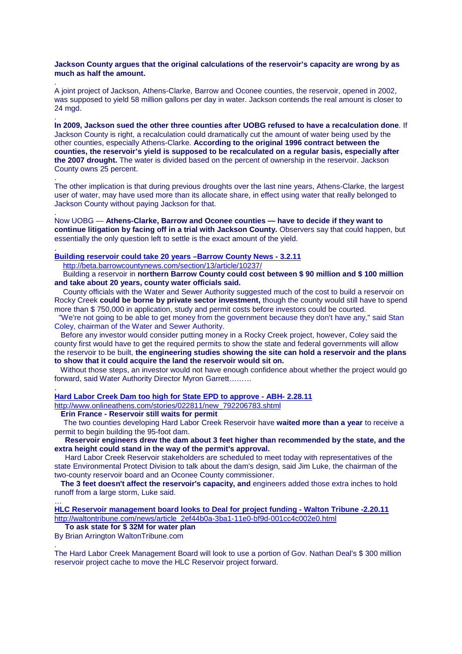### **Jackson County argues that the original calculations of the reservoir's capacity are wrong by as much as half the amount.**

. A joint project of Jackson, Athens-Clarke, Barrow and Oconee counties, the reservoir, opened in 2002, was supposed to yield 58 million gallons per day in water. Jackson contends the real amount is closer to 24 mgd.

**In 2009, Jackson sued the other three counties after UOBG refused to have a recalculation done**. If Jackson County is right, a recalculation could dramatically cut the amount of water being used by the other counties, especially Athens-Clarke. **According to the original 1996 contract between the counties, the reservoir's yield is supposed to be recalculated on a regular basis, especially after the 2007 drought.** The water is divided based on the percent of ownership in the reservoir. Jackson County owns 25 percent.

The other implication is that during previous droughts over the last nine years, Athens-Clarke, the largest user of water, may have used more than its allocate share, in effect using water that really belonged to Jackson County without paying Jackson for that.

. Now UOBG — **Athens-Clarke, Barrow and Oconee counties — have to decide if they want to continue litigation by facing off in a trial with Jackson County.** Observers say that could happen, but essentially the only question left to settle is the exact amount of the yield.

## **Building reservoir could take 20 years –Barrow County News - 3.2.11**

http://beta.barrowcountynews.com/section/13/article/10237/

.

.

.

.

…

 Building a reservoir in **northern Barrow County could cost between \$ 90 million and \$ 100 million and take about 20 years, county water officials said.**

 County officials with the Water and Sewer Authority suggested much of the cost to build a reservoir on Rocky Creek **could be borne by private sector investment,** though the county would still have to spend more than \$ 750,000 in application, study and permit costs before investors could be courted.

 "We're not going to be able to get money from the government because they don't have any," said Stan Coley, chairman of the Water and Sewer Authority.

 Before any investor would consider putting money in a Rocky Creek project, however, Coley said the county first would have to get the required permits to show the state and federal governments will allow the reservoir to be built, **the engineering studies showing the site can hold a reservoir and the plans to show that it could acquire the land the reservoir would sit on.** 

 Without those steps, an investor would not have enough confidence about whether the project would go forward, said Water Authority Director Myron Garrett………

**Hard Labor Creek Dam too high for State EPD to approve - ABH- 2.28.11**

http://www.onlineathens.com/stories/022811/new\_792206783.shtml

 **Erin France - Reservoir still waits for permit** 

 The two counties developing Hard Labor Creek Reservoir have **waited more than a year** to receive a permit to begin building the 95-foot dam.

 **Reservoir engineers drew the dam about 3 feet higher than recommended by the state, and the extra height could stand in the way of the permit's approval.** 

 Hard Labor Creek Reservoir stakeholders are scheduled to meet today with representatives of the state Environmental Protect Division to talk about the dam's design, said Jim Luke, the chairman of the two-county reservoir board and an Oconee County commissioner.

 **The 3 feet doesn't affect the reservoir's capacity, and** engineers added those extra inches to hold runoff from a large storm, Luke said.

**HLC Reservoir management board looks to Deal for project funding - Walton Tribune -2.20.11** http://waltontribune.com/news/article\_2ef44b0a-3ba1-11e0-bf9d-001cc4c002e0.html

 **To ask state for \$ 32M for water plan** 

By Brian Arrington WaltonTribune.com .

The Hard Labor Creek Management Board will look to use a portion of Gov. Nathan Deal's \$ 300 million reservoir project cache to move the HLC Reservoir project forward.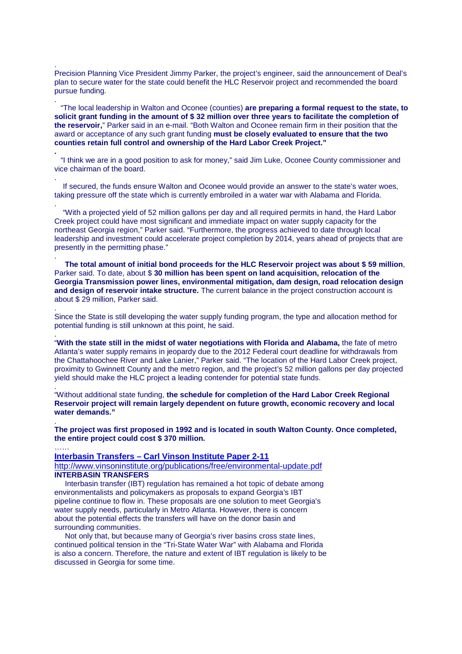Precision Planning Vice President Jimmy Parker, the project's engineer, said the announcement of Deal's plan to secure water for the state could benefit the HLC Reservoir project and recommended the board pursue funding.

.

.

**.**

.

.

.

.

.

.

 "The local leadership in Walton and Oconee (counties) **are preparing a formal request to the state, to solicit grant funding in the amount of \$ 32 million over three years to facilitate the completion of the reservoir,**" Parker said in an e-mail. "Both Walton and Oconee remain firm in their position that the award or acceptance of any such grant funding **must be closely evaluated to ensure that the two counties retain full control and ownership of the Hard Labor Creek Project."** 

 "I think we are in a good position to ask for money," said Jim Luke, Oconee County commissioner and vice chairman of the board.

 If secured, the funds ensure Walton and Oconee would provide an answer to the state's water woes, taking pressure off the state which is currently embroiled in a water war with Alabama and Florida.

 "With a projected yield of 52 million gallons per day and all required permits in hand, the Hard Labor Creek project could have most significant and immediate impact on water supply capacity for the northeast Georgia region," Parker said. "Furthermore, the progress achieved to date through local leadership and investment could accelerate project completion by 2014, years ahead of projects that are presently in the permitting phase."

 **The total amount of initial bond proceeds for the HLC Reservoir project was about \$ 59 million**, Parker said. To date, about \$30 million has been spent on land acquisition, relocation of the **Georgia Transmission power lines, environmental mitigation, dam design, road relocation design and design of reservoir intake structure.** The current balance in the project construction account is about \$ 29 million, Parker said.

Since the State is still developing the water supply funding program, the type and allocation method for potential funding is still unknown at this point, he said.

"**With the state still in the midst of water negotiations with Florida and Alabama,** the fate of metro Atlanta's water supply remains in jeopardy due to the 2012 Federal court deadline for withdrawals from the Chattahoochee River and Lake Lanier," Parker said. "The location of the Hard Labor Creek project, proximity to Gwinnett County and the metro region, and the project's 52 million gallons per day projected yield should make the HLC project a leading contender for potential state funds.

. "Without additional state funding, **the schedule for completion of the Hard Labor Creek Regional Reservoir project will remain largely dependent on future growth, economic recovery and local water demands."** 

**The project was first proposed in 1992 and is located in south Walton County. Once completed, the entire project could cost \$ 370 million.** 

…… **Interbasin Transfers – Carl Vinson Institute Paper 2-11** http://www.vinsoninstitute.org/publications/free/environmental-update.pdf **INTERBASIN TRANSFERS** 

 Interbasin transfer (IBT) regulation has remained a hot topic of debate among environmentalists and policymakers as proposals to expand Georgia's IBT pipeline continue to flow in. These proposals are one solution to meet Georgia's water supply needs, particularly in Metro Atlanta. However, there is concern about the potential effects the transfers will have on the donor basin and surrounding communities.

 Not only that, but because many of Georgia's river basins cross state lines, continued political tension in the "Tri-State Water War" with Alabama and Florida is also a concern. Therefore, the nature and extent of IBT regulation is likely to be discussed in Georgia for some time.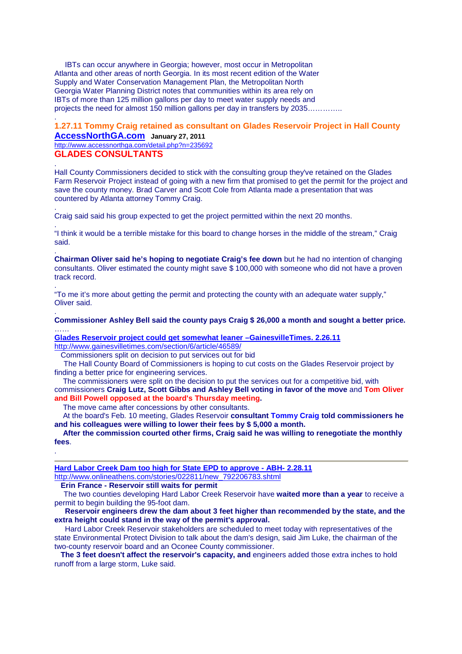IBTs can occur anywhere in Georgia; however, most occur in Metropolitan Atlanta and other areas of north Georgia. In its most recent edition of the Water Supply and Water Conservation Management Plan, the Metropolitan North Georgia Water Planning District notes that communities within its area rely on IBTs of more than 125 million gallons per day to meet water supply needs and projects the need for almost 150 million gallons per day in transfers by 2035…………..

# **1.27.11 Tommy Craig retained as consultant on Glades Reservoir Project in Hall County**

**AccessNorthGA.com January 27, 2011**  http://www.accessnorthga.com/detail.php?n=235692 **GLADES CONSULTANTS**

.

.

.

.

.

.

.

.

Hall County Commissioners decided to stick with the consulting group they've retained on the Glades Farm Reservoir Project instead of going with a new firm that promised to get the permit for the project and save the county money. Brad Carver and Scott Cole from Atlanta made a presentation that was countered by Atlanta attorney Tommy Craig.

Craig said said his group expected to get the project permitted within the next 20 months.

"I think it would be a terrible mistake for this board to change horses in the middle of the stream," Craig said.

**Chairman Oliver said he's hoping to negotiate Craig's fee down** but he had no intention of changing consultants. Oliver estimated the county might save \$ 100,000 with someone who did not have a proven track record.

"To me it's more about getting the permit and protecting the county with an adequate water supply," Oliver said.

### **Commissioner Ashley Bell said the county pays Craig \$ 26,000 a month and sought a better price.** ……

**Glades Reservoir project could get somewhat leaner –GainesvilleTimes. 2.26.11** http://www.gainesvilletimes.com/section/6/article/46589/

Commissioners split on decision to put services out for bid

 The Hall County Board of Commissioners is hoping to cut costs on the Glades Reservoir project by finding a better price for engineering services.

 The commissioners were split on the decision to put the services out for a competitive bid, with commissioners **Craig Lutz, Scott Gibbs and Ashley Bell voting in favor of the move** and **Tom Oliver and Bill Powell opposed at the board's Thursday meeting.** 

The move came after concessions by other consultants.

 At the board's Feb. 10 meeting, Glades Reservoir **consultant Tommy Craig told commissioners he and his colleagues were willing to lower their fees by \$ 5,000 a month.** 

 **After the commission courted other firms, Craig said he was willing to renegotiate the monthly fees**.

## **Hard Labor Creek Dam too high for State EPD to approve - ABH- 2.28.11**

http://www.onlineathens.com/stories/022811/new\_792206783.shtml

 **Erin France - Reservoir still waits for permit** 

 The two counties developing Hard Labor Creek Reservoir have **waited more than a year** to receive a permit to begin building the 95-foot dam.

## **Reservoir engineers drew the dam about 3 feet higher than recommended by the state, and the extra height could stand in the way of the permit's approval.**

 Hard Labor Creek Reservoir stakeholders are scheduled to meet today with representatives of the state Environmental Protect Division to talk about the dam's design, said Jim Luke, the chairman of the two-county reservoir board and an Oconee County commissioner.

 **The 3 feet doesn't affect the reservoir's capacity, and** engineers added those extra inches to hold runoff from a large storm, Luke said.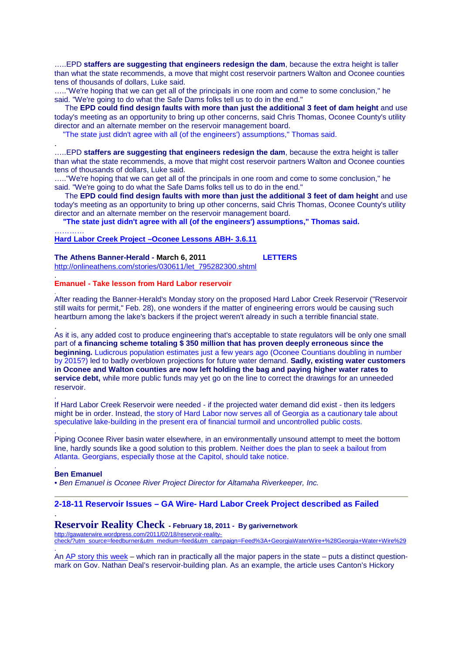…..EPD **staffers are suggesting that engineers redesign the dam**, because the extra height is taller than what the state recommends, a move that might cost reservoir partners Walton and Oconee counties tens of thousands of dollars, Luke said.

….."We're hoping that we can get all of the principals in one room and come to some conclusion," he said. "We're going to do what the Safe Dams folks tell us to do in the end."

 The **EPD could find design faults with more than just the additional 3 feet of dam height** and use today's meeting as an opportunity to bring up other concerns, said Chris Thomas, Oconee County's utility director and an alternate member on the reservoir management board.

"The state just didn't agree with all (of the engineers') assumptions," Thomas said.

…..EPD **staffers are suggesting that engineers redesign the dam**, because the extra height is taller than what the state recommends, a move that might cost reservoir partners Walton and Oconee counties tens of thousands of dollars, Luke said.

….."We're hoping that we can get all of the principals in one room and come to some conclusion," he said. "We're going to do what the Safe Dams folks tell us to do in the end."

 The **EPD could find design faults with more than just the additional 3 feet of dam height** and use today's meeting as an opportunity to bring up other concerns, said Chris Thomas, Oconee County's utility director and an alternate member on the reservoir management board.

 **"The state just didn't agree with all (of the engineers') assumptions," Thomas said.** 

#### ………… **Hard Labor Creek Project –Oconee Lessons ABH- 3.6.11**

**The Athens Banner-Herald - March 6, 2011 LETTERS** http://onlineathens.com/stories/030611/let\_795282300.shtml

#### **Emanuel - Take lesson from Hard Labor reservoir**

After reading the Banner-Herald's Monday story on the proposed Hard Labor Creek Reservoir ("Reservoir still waits for permit," Feb. 28), one wonders if the matter of engineering errors would be causing such heartburn among the lake's backers if the project weren't already in such a terrible financial state.

As it is, any added cost to produce engineering that's acceptable to state regulators will be only one small part of **a financing scheme totaling \$ 350 million that has proven deeply erroneous since the beginning.** Ludicrous population estimates just a few years ago (Oconee Countians doubling in number by 2015?) led to badly overblown projections for future water demand. **Sadly, existing water customers in Oconee and Walton counties are now left holding the bag and paying higher water rates to service debt,** while more public funds may yet go on the line to correct the drawings for an unneeded reservoir.

If Hard Labor Creek Reservoir were needed - if the projected water demand did exist - then its ledgers might be in order. Instead, the story of Hard Labor now serves all of Georgia as a cautionary tale about speculative lake-building in the present era of financial turmoil and uncontrolled public costs.

Piping Oconee River basin water elsewhere, in an environmentally unsound attempt to meet the bottom line, hardly sounds like a good solution to this problem. Neither does the plan to seek a bailout from Atlanta. Georgians, especially those at the Capitol, should take notice.

#### . **Ben Emanuel**

.

.

.

.

.

.

.

• Ben Emanuel is Oconee River Project Director for Altamaha Riverkeeper, Inc.

### **2-18-11 Reservoir Issues – GA Wire- Hard Labor Creek Project described as Failed**

## **Reservoir Reality Check - February 18, 2011 - By garivernetwork**

http://gawaterwire.wordpress.com/2011/02/18/reservoir-realitycheck/?utm\_source=feedburner&utm\_medium=feed&utm\_campaign=Feed%3A+GeorgiaWaterWire+%28Georgia+Water+Wire%29 .

An AP story this week – which ran in practically all the major papers in the state – puts a distinct questionmark on Gov. Nathan Deal's reservoir-building plan. As an example, the article uses Canton's Hickory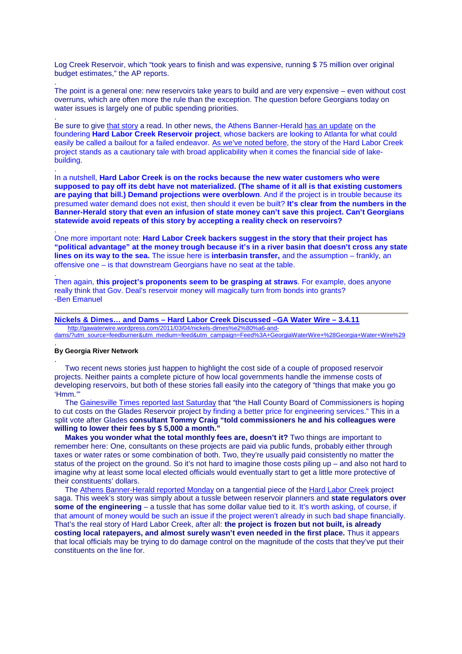Log Creek Reservoir, which "took years to finish and was expensive, running \$ 75 million over original budget estimates," the AP reports.

The point is a general one: new reservoirs take years to build and are very expensive – even without cost overruns, which are often more the rule than the exception. The question before Georgians today on water issues is largely one of public spending priorities.

Be sure to give that story a read. In other news, the Athens Banner-Herald has an update on the foundering **Hard Labor Creek Reservoir project**, whose backers are looking to Atlanta for what could easily be called a bailout for a failed endeavor. As we've noted before, the story of the Hard Labor Creek project stands as a cautionary tale with broad applicability when it comes the financial side of lakebuilding.

In a nutshell, **Hard Labor Creek is on the rocks because the new water customers who were supposed to pay off its debt have not materialized. (The shame of it all is that existing customers are paying that bill.) Demand projections were overblown**. And if the project is in trouble because its presumed water demand does not exist, then should it even be built? **It's clear from the numbers in the Banner-Herald story that even an infusion of state money can't save this project. Can't Georgians statewide avoid repeats of this story by accepting a reality check on reservoirs?**

One more important note: **Hard Labor Creek backers suggest in the story that their project has "political advantage" at the money trough because it's in a river basin that doesn't cross any state lines on its way to the sea.** The issue here is **interbasin transfer,** and the assumption – frankly, an offensive one – is that downstream Georgians have no seat at the table.

Then again, **this project's proponents seem to be grasping at straws**. For example, does anyone really think that Gov. Deal's reservoir money will magically turn from bonds into grants? -Ben Emanuel

### **Nickels & Dimes… and Dams – Hard Labor Creek Discussed –GA Water Wire – 3.4.11**

 http://gawaterwire.wordpress.com/2011/03/04/nickels-dimes%e2%80%a6-anddams/?utm\_source=feedburner&utm\_medium=feed&utm\_campaign=Feed%3A+GeorgiaWaterWire+%28Georgia+Water+Wire%29

#### **By Georgia River Network**

.

.

.

.

.

.

.

 Two recent news stories just happen to highlight the cost side of a couple of proposed reservoir projects. Neither paints a complete picture of how local governments handle the immense costs of developing reservoirs, but both of these stories fall easily into the category of "things that make you go 'Hmm.'"

 The Gainesville Times reported last Saturday that "the Hall County Board of Commissioners is hoping to cut costs on the Glades Reservoir project by finding a better price for engineering services." This in a split vote after Glades **consultant Tommy Craig "told commissioners he and his colleagues were willing to lower their fees by \$ 5,000 a month."**

**Makes you wonder what the total monthly fees are, doesn't it?** Two things are important to remember here: One, consultants on these projects are paid via public funds, probably either through taxes or water rates or some combination of both. Two, they're usually paid consistently no matter the status of the project on the ground. So it's not hard to imagine those costs piling up – and also not hard to imagine why at least some local elected officials would eventually start to get a little more protective of their constituents' dollars.

 The Athens Banner-Herald reported Monday on a tangential piece of the Hard Labor Creek project saga. This week's story was simply about a tussle between reservoir planners and **state regulators over some of the engineering** – a tussle that has some dollar value tied to it. It's worth asking, of course, if that amount of money would be such an issue if the project weren't already in such bad shape financially. That's the real story of Hard Labor Creek, after all: **the project is frozen but not built, is already costing local ratepayers, and almost surely wasn't even needed in the first place.** Thus it appears that local officials may be trying to do damage control on the magnitude of the costs that they've put their constituents on the line for.